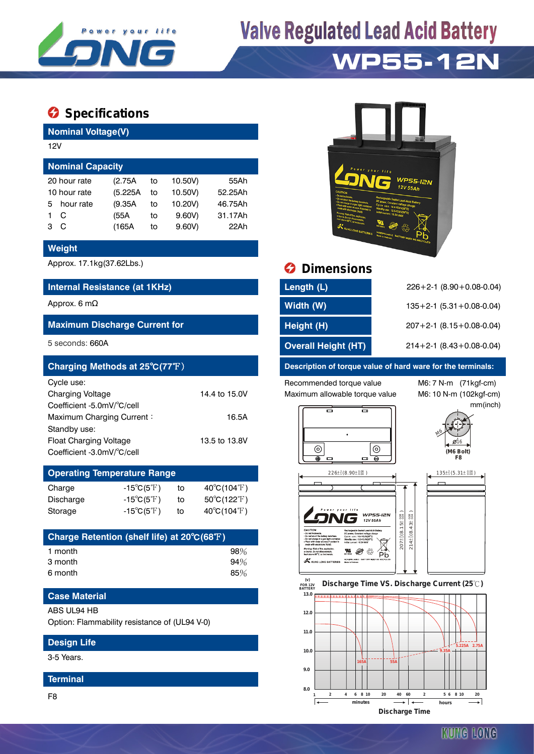

# **Valve Regulated Lead Acid Battery**

## **WP55-12N**

### $\bullet$  Specifications

**Nominal Voltage(V)**

| 12V                     |           |         |    |         |         |  |  |  |  |
|-------------------------|-----------|---------|----|---------|---------|--|--|--|--|
| <b>Nominal Capacity</b> |           |         |    |         |         |  |  |  |  |
| 20 hour rate            |           | (2.75A  | to | 10.50V) | 55Ah    |  |  |  |  |
| 10 hour rate            |           | (5.225A | to | 10.50V) | 52.25Ah |  |  |  |  |
| 5.                      | hour rate | (9.35A) | to | 10.20V) | 46.75Ah |  |  |  |  |
|                         | C         | (55A    | to | 9.60V   | 31.17Ah |  |  |  |  |
| з                       | C         | (165A   | to | 9.60V   | 22Ah    |  |  |  |  |
|                         |           |         |    |         |         |  |  |  |  |

#### **Weight**

#### **Internal Resistance (at 1KHz)**

#### **Maximum Discharge Current for**

| Charging Methods at 25°C(77°F) |               |
|--------------------------------|---------------|
| Cycle use:                     |               |
| <b>Charging Voltage</b>        | 14.4 to 15.0V |
| Coefficient -5.0mV/°C/cell     |               |
| Maximum Charging Current:      | 16.5A         |
| Standby use:                   |               |
| Float Charging Voltage         | 13.5 to 13.8V |
| Coefficient -3.0mV/°C/cell     |               |

#### **Operating Temperature Range**  $C_{\text{horco}}$   $15\%$ ( $5\%$ ) to  $40\%$ (104<sup>°</sup>F)

| vilaige   | $-100111$                        | ιυ | $+0$ $\vee$ $\vee$ $+1$ $\vee$   |
|-----------|----------------------------------|----|----------------------------------|
| Discharge | -15 $^{\circ}$ C(5 $^{\circ}$ F) | to | $50^{\circ}$ C(122 $^{\circ}$ F) |
| Storage   | $-15^{\circ}C(5^{\circ}F)$       | to | $40^{\circ}$ C(104 $^{\circ}$ F) |

| Charge Retention (shelf life) at 20°C(68°F) |     |
|---------------------------------------------|-----|
| 1 month                                     | 98% |
| 3 month                                     | 94% |
| 6 month                                     | 85% |

### **Case Material**

#### ABS UL94 HB

Option: Flammability resistance of (UL94 V-0)

#### **Design Life**

3-5 Years.

#### **Terminal**

F8



### Approx. 17.1kg(37.62Lbs.) **Dimensions**

| Internal Resistance (at 1KHz)        | Length (L)                 | $226+2-1$ (8.90 + 0.08-0.04)       |
|--------------------------------------|----------------------------|------------------------------------|
| Approx. 6 mΩ                         | Width (W)                  | $135+2-1$ (5.31 + 0.08-0.04)       |
| <b>Maximum Discharge Current for</b> | Height (H)                 | $207 + 2 - 1$ (8.15 + 0.08 - 0.04) |
| 5 seconds: 660A                      | <b>Overall Height (HT)</b> | $214+2-1$ (8.43+0.08-0.04)         |

#### **Description of torque value of hard ware for the terminals:**

Recommended torque value M6: 7 N-m (71kgf-cm) Maximum allowable torque value M6: 10 N-m (102kgf-cm)

mm(inch)







#### **FOR 12V BATTERY** Discharge Time VS. Discharge Current (25℃)